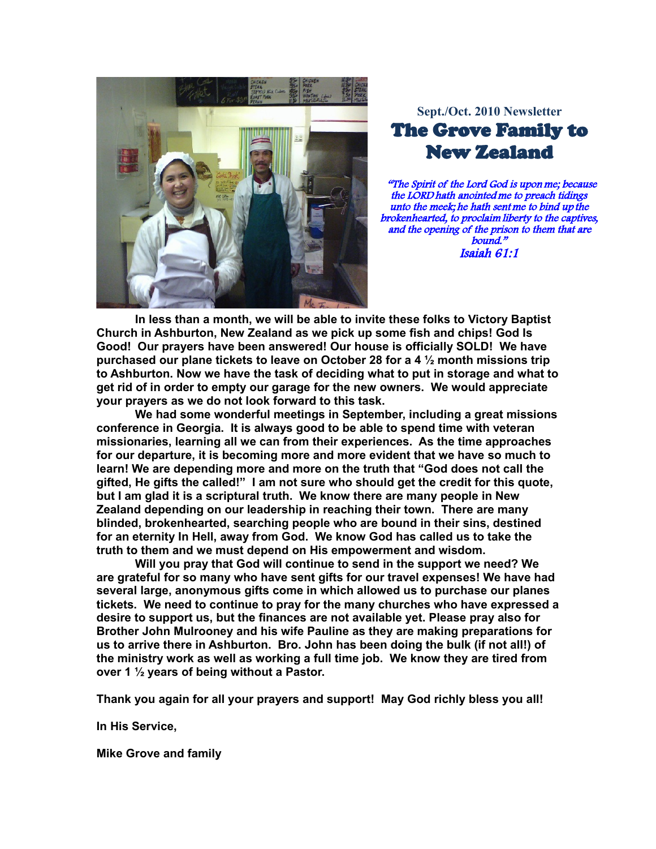

## Sept./Oct. 2010 Newsletter **The Grove Family to New Zealand**

"The Spirit of the Lord God is upon me; because the LORD hath anointed me to preach tidings unto the meek; he hath sent me to bind up the brokenhearted, to proclaim liberty to the captives, and the opening of the prison to them that are  $bound.$ " Isaiah  $61:1$ 

In less than a month, we will be able to invite these folks to Victory Baptist Church in Ashburton, New Zealand as we pick up some fish and chips! God Is Good! Our prayers have been answered! Our house is officially SOLD! We have purchased our plane tickets to leave on October 28 for a 4  $\frac{1}{2}$  month missions trip to Ashburton. Now we have the task of deciding what to put in storage and what to get rid of in order to empty our garage for the new owners. We would appreciate your prayers as we do not look forward to this task.

We had some wonderful meetings in September, including a great missions conference in Georgia. It is always good to be able to spend time with veteran missionaries, learning all we can from their experiences. As the time approaches for our departure, it is becoming more and more evident that we have so much to learn! We are depending more and more on the truth that "God does not call the gifted, He gifts the called!" I am not sure who should get the credit for this quote, but I am glad it is a scriptural truth. We know there are many people in New Zealand depending on our leadership in reaching their town. There are many blinded, brokenhearted, searching people who are bound in their sins, destined for an eternity In Hell, away from God. We know God has called us to take the truth to them and we must depend on His empowerment and wisdom.

Will you pray that God will continue to send in the support we need? We are grateful for so many who have sent gifts for our travel expenses! We have had several large, anonymous gifts come in which allowed us to purchase our planes tickets. We need to continue to pray for the many churches who have expressed a desire to support us, but the finances are not available yet. Please pray also for Brother John Mulrooney and his wife Pauline as they are making preparations for us to arrive there in Ashburton. Bro. John has been doing the bulk (if not all!) of the ministry work as well as working a full time job. We know they are tired from over 1 1/2 years of being without a Pastor.

Thank you again for all your prayers and support! May God richly bless you all!

In His Service,

**Mike Grove and family**